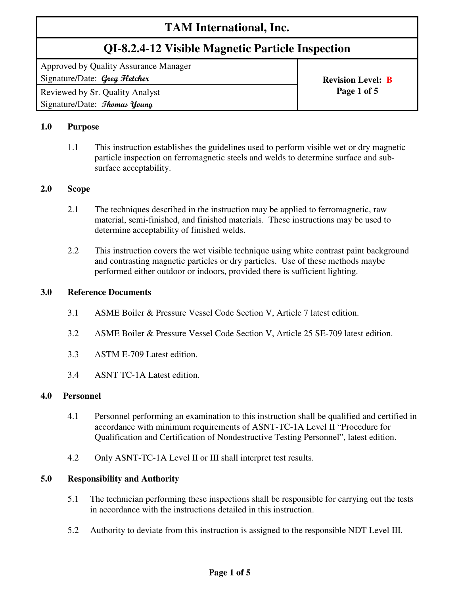# **TAM International, Inc.**

# **QI-8.2.4-12 Visible Magnetic Particle Inspection**

Approved by Quality Assurance Manager Signature/Date: Greg Fletcher **Revision Level: B Revision Level: B** 

Reviewed by Sr. Quality Analyst **Page 1 of 5**  Signature/Date: *Thomas Young* 

# **1.0 Purpose**

1.1 This instruction establishes the guidelines used to perform visible wet or dry magnetic particle inspection on ferromagnetic steels and welds to determine surface and subsurface acceptability.

#### **2.0 Scope**

- 2.1 The techniques described in the instruction may be applied to ferromagnetic, raw material, semi-finished, and finished materials. These instructions may be used to determine acceptability of finished welds.
- 2.2 This instruction covers the wet visible technique using white contrast paint background and contrasting magnetic particles or dry particles. Use of these methods maybe performed either outdoor or indoors, provided there is sufficient lighting.

#### **3.0 Reference Documents**

- 3.1 ASME Boiler & Pressure Vessel Code Section V, Article 7 latest edition.
- 3.2 ASME Boiler & Pressure Vessel Code Section V, Article 25 SE-709 latest edition.
- 3.3 ASTM E-709 Latest edition.
- 3.4 ASNT TC-1A Latest edition.

#### **4.0 Personnel**

- 4.1 Personnel performing an examination to this instruction shall be qualified and certified in accordance with minimum requirements of ASNT-TC-1A Level II "Procedure for Qualification and Certification of Nondestructive Testing Personnel", latest edition.
- 4.2 Only ASNT-TC-1A Level II or III shall interpret test results.

#### **5.0 Responsibility and Authority**

- 5.1 The technician performing these inspections shall be responsible for carrying out the tests in accordance with the instructions detailed in this instruction.
- 5.2 Authority to deviate from this instruction is assigned to the responsible NDT Level III.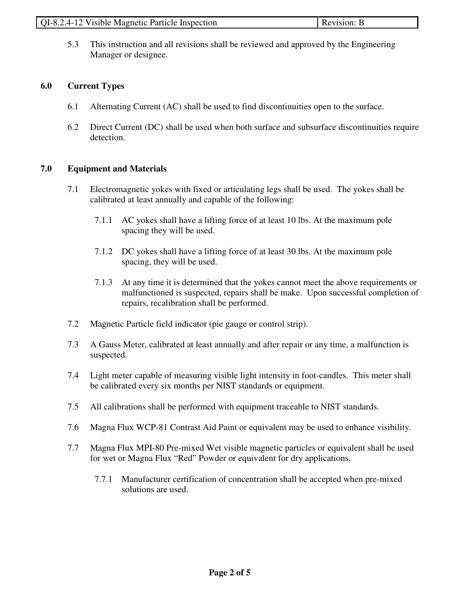| QI-8.2.4-12 Visible Magnetic Particle Inspection | <b>Revision: B</b> |
|--------------------------------------------------|--------------------|

5.3 This instruction and all revisions shall be reviewed and approved by the Engineering Manager or designee.

### **6.0 Current Types**

- 6.1 Alternating Current (AC) shall be used to find discontinuities open to the surface.
- 6.2 Direct Current (DC) shall be used when both surface and subsurface discontinuities require detection.

#### **7.0 Equipment and Materials**

- 7.1 Electromagnetic yokes with fixed or articulating legs shall be used. The yokes shall be calibrated at least annually and capable of the following:
	- 7.1.1 AC yokes shall have a lifting force of at least 10 lbs. At the maximum pole spacing they will be used.
	- 7.1.2 DC yokes shall have a lifting force of at least 30 lbs. At the maximum pole spacing, they will be used.
	- 7.1.3 At any time it is determined that the yokes cannot meet the above requirements or malfunctioned is suspected, repairs shall be make. Upon successful completion of repairs, recalibration shall be performed.
- 7.2 Magnetic Particle field indicator (pie gauge or control strip).
- 7.3 A Gauss Meter, calibrated at least annually and after repair or any time, a malfunction is suspected.
- 7.4 Light meter capable of measuring visible light intensity in foot-candles. This meter shall be calibrated every six months per NIST standards or equipment.
- 7.5 All calibrations shall be performed with equipment traceable to NIST standards.
- 7.6 Magna Flux WCP-81 Contrast Aid Paint or equivalent may be used to enhance visibility.
- 7.7 Magna Flux MPI-80 Pre-mixed Wet visible magnetic particles or equivalent shall be used for wet or Magna Flux "Red" Powder or equivalent for dry applications.
	- 7.7.1 Manufacturer certification of concentration shall be accepted when pre-mixed solutions are used.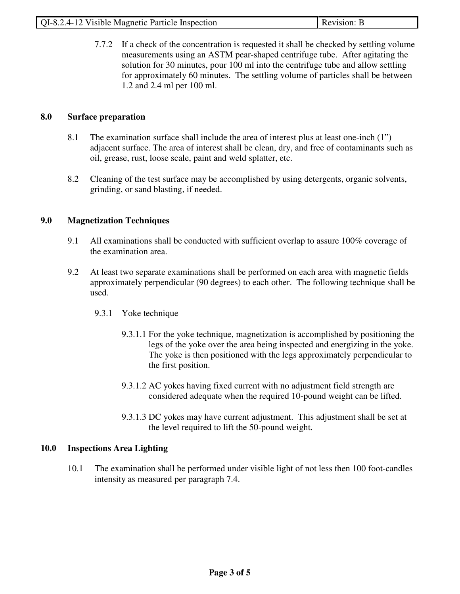| QI-8.2.4-12 Visible Magnetic Particle Inspection | Revision: B |
|--------------------------------------------------|-------------|

7.7.2 If a check of the concentration is requested it shall be checked by settling volume measurements using an ASTM pear-shaped centrifuge tube. After agitating the solution for 30 minutes, pour 100 ml into the centrifuge tube and allow settling for approximately 60 minutes. The settling volume of particles shall be between 1.2 and 2.4 ml per 100 ml.

### **8.0 Surface preparation**

- 8.1 The examination surface shall include the area of interest plus at least one-inch (1") adjacent surface. The area of interest shall be clean, dry, and free of contaminants such as oil, grease, rust, loose scale, paint and weld splatter, etc.
- 8.2 Cleaning of the test surface may be accomplished by using detergents, organic solvents, grinding, or sand blasting, if needed.

# **9.0 Magnetization Techniques**

- 9.1 All examinations shall be conducted with sufficient overlap to assure 100% coverage of the examination area.
- 9.2 At least two separate examinations shall be performed on each area with magnetic fields approximately perpendicular (90 degrees) to each other. The following technique shall be used.
	- 9.3.1 Yoke technique
		- 9.3.1.1 For the yoke technique, magnetization is accomplished by positioning the legs of the yoke over the area being inspected and energizing in the yoke. The yoke is then positioned with the legs approximately perpendicular to the first position.
		- 9.3.1.2 AC yokes having fixed current with no adjustment field strength are considered adequate when the required 10-pound weight can be lifted.
		- 9.3.1.3 DC yokes may have current adjustment. This adjustment shall be set at the level required to lift the 50-pound weight.

# **10.0 Inspections Area Lighting**

10.1 The examination shall be performed under visible light of not less then 100 foot-candles intensity as measured per paragraph 7.4.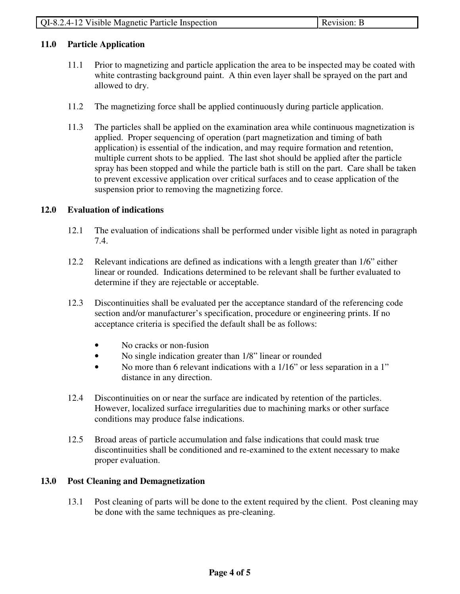### **11.0 Particle Application**

- 11.1 Prior to magnetizing and particle application the area to be inspected may be coated with white contrasting background paint. A thin even layer shall be sprayed on the part and allowed to dry.
- 11.2 The magnetizing force shall be applied continuously during particle application.
- 11.3 The particles shall be applied on the examination area while continuous magnetization is applied. Proper sequencing of operation (part magnetization and timing of bath application) is essential of the indication, and may require formation and retention, multiple current shots to be applied. The last shot should be applied after the particle spray has been stopped and while the particle bath is still on the part. Care shall be taken to prevent excessive application over critical surfaces and to cease application of the suspension prior to removing the magnetizing force.

#### **12.0 Evaluation of indications**

- 12.1 The evaluation of indications shall be performed under visible light as noted in paragraph 7.4.
- 12.2 Relevant indications are defined as indications with a length greater than 1/6" either linear or rounded. Indications determined to be relevant shall be further evaluated to determine if they are rejectable or acceptable.
- 12.3 Discontinuities shall be evaluated per the acceptance standard of the referencing code section and/or manufacturer's specification, procedure or engineering prints. If no acceptance criteria is specified the default shall be as follows:
	- No cracks or non-fusion
	- No single indication greater than 1/8" linear or rounded
	- No more than 6 relevant indications with a 1/16" or less separation in a 1" distance in any direction.
- 12.4 Discontinuities on or near the surface are indicated by retention of the particles. However, localized surface irregularities due to machining marks or other surface conditions may produce false indications.
- 12.5 Broad areas of particle accumulation and false indications that could mask true discontinuities shall be conditioned and re-examined to the extent necessary to make proper evaluation.

#### **13.0 Post Cleaning and Demagnetization**

13.1 Post cleaning of parts will be done to the extent required by the client. Post cleaning may be done with the same techniques as pre-cleaning.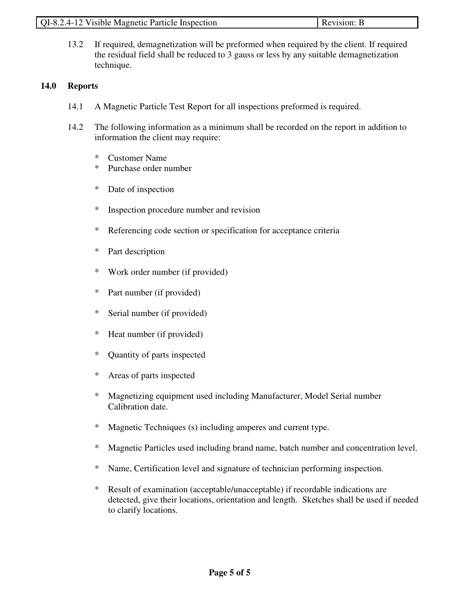| QI-8.2.4-12 Visible Magnetic Particle Inspection | Revision: B |
|--------------------------------------------------|-------------|

13.2 If required, demagnetization will be preformed when required by the client. If required the residual field shall be reduced to 3 gauss or less by any suitable demagnetization technique.

#### **14.0 Reports**

- 14.1 A Magnetic Particle Test Report for all inspections preformed is required.
- 14.2 The following information as a minimum shall be recorded on the report in addition to information the client may require:
	- \* Customer Name
	- \* Purchase order number
	- \* Date of inspection
	- \* Inspection procedure number and revision
	- \* Referencing code section or specification for acceptance criteria
	- \* Part description
	- \* Work order number (if provided)
	- \* Part number (if provided)
	- \* Serial number (if provided)
	- \* Heat number (if provided)
	- \* Quantity of parts inspected
	- \* Areas of parts inspected
	- \* Magnetizing equipment used including Manufacturer, Model Serial number Calibration date.
	- \* Magnetic Techniques (s) including amperes and current type.
	- \* Magnetic Particles used including brand name, batch number and concentration level.
	- \* Name, Certification level and signature of technician performing inspection.
	- \* Result of examination (acceptable/unacceptable) if recordable indications are detected, give their locations, orientation and length. Sketches shall be used if needed to clarify locations.